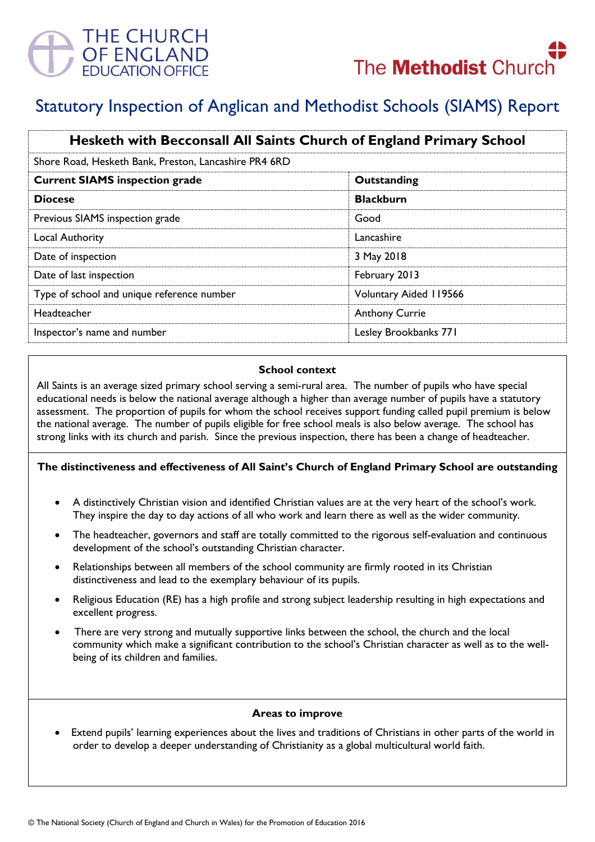

# Statutory Inspection of Anglican and Methodist Schools (SIAMS) Report

| Hesketh with Becconsall All Saints Church of England Primary School |                        |
|---------------------------------------------------------------------|------------------------|
| Shore Road, Hesketh Bank, Preston, Lancashire PR4 6RD               |                        |
| <b>Current SIAMS inspection grade</b>                               | Outstanding            |
| <b>Diocese</b>                                                      | <b>Blackburn</b>       |
| Previous SIAMS inspection grade                                     | Good                   |
| <b>Local Authority</b>                                              | Lancashire             |
| Date of inspection                                                  | 3 May 2018             |
| Date of last inspection                                             | February 2013          |
| Type of school and unique reference number                          | Voluntary Aided 119566 |
| Headteacher                                                         | <b>Anthony Currie</b>  |
| Inspector's name and number                                         | Lesley Brookbanks 771  |

### **School context**

All Saints is an average sized primary school serving a semi-rural area. The number of pupils who have special educational needs is below the national average although a higher than average number of pupils have a statutory assessment. The proportion of pupils for whom the school receives support funding called pupil premium is below the national average. The number of pupils eligible for free school meals is also below average. The school has strong links with its church and parish. Since the previous inspection, there has been a change of headteacher.

## **The distinctiveness and effectiveness of All Saint's Church of England Primary School are outstanding**

- A distinctively Christian vision and identified Christian values are at the very heart of the school's work. They inspire the day to day actions of all who work and learn there as well as the wider community.
- The headteacher, governors and staff are totally committed to the rigorous self-evaluation and continuous development of the school's outstanding Christian character.
- Relationships between all members of the school community are firmly rooted in its Christian distinctiveness and lead to the exemplary behaviour of its pupils.
- Religious Education (RE) has a high profile and strong subject leadership resulting in high expectations and excellent progress.
- There are very strong and mutually supportive links between the school, the church and the local community which make a significant contribution to the school's Christian character as well as to the wellbeing of its children and families.

### **Areas to improve**

 Extend pupils' learning experiences about the lives and traditions of Christians in other parts of the world in order to develop a deeper understanding of Christianity as a global multicultural world faith.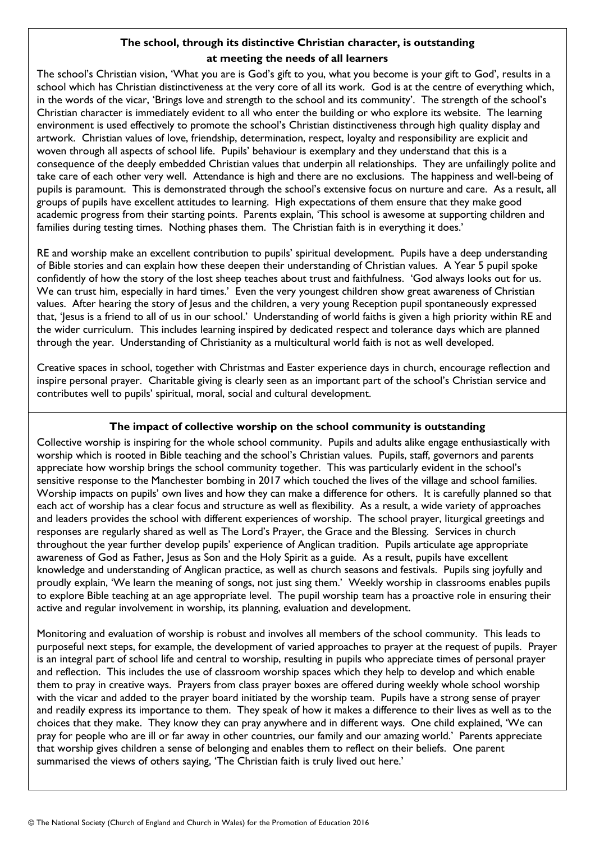# **The school, through its distinctive Christian character, is outstanding at meeting the needs of all learners**

The school's Christian vision, 'What you are is God's gift to you, what you become is your gift to God', results in a school which has Christian distinctiveness at the very core of all its work. God is at the centre of everything which, in the words of the vicar, 'Brings love and strength to the school and its community'. The strength of the school's Christian character is immediately evident to all who enter the building or who explore its website. The learning environment is used effectively to promote the school's Christian distinctiveness through high quality display and artwork. Christian values of love, friendship, determination, respect, loyalty and responsibility are explicit and woven through all aspects of school life. Pupils' behaviour is exemplary and they understand that this is a consequence of the deeply embedded Christian values that underpin all relationships. They are unfailingly polite and take care of each other very well. Attendance is high and there are no exclusions. The happiness and well-being of pupils is paramount. This is demonstrated through the school's extensive focus on nurture and care. As a result, all groups of pupils have excellent attitudes to learning. High expectations of them ensure that they make good academic progress from their starting points. Parents explain, 'This school is awesome at supporting children and families during testing times. Nothing phases them. The Christian faith is in everything it does.'

RE and worship make an excellent contribution to pupils' spiritual development. Pupils have a deep understanding of Bible stories and can explain how these deepen their understanding of Christian values. A Year 5 pupil spoke confidently of how the story of the lost sheep teaches about trust and faithfulness. 'God always looks out for us. We can trust him, especially in hard times.' Even the very youngest children show great awareness of Christian values. After hearing the story of Jesus and the children, a very young Reception pupil spontaneously expressed that, 'lesus is a friend to all of us in our school.' Understanding of world faiths is given a high priority within RE and the wider curriculum. This includes learning inspired by dedicated respect and tolerance days which are planned through the year. Understanding of Christianity as a multicultural world faith is not as well developed.

Creative spaces in school, together with Christmas and Easter experience days in church, encourage reflection and inspire personal prayer. Charitable giving is clearly seen as an important part of the school's Christian service and contributes well to pupils' spiritual, moral, social and cultural development.

# **The impact of collective worship on the school community is outstanding**

Collective worship is inspiring for the whole school community. Pupils and adults alike engage enthusiastically with worship which is rooted in Bible teaching and the school's Christian values. Pupils, staff, governors and parents appreciate how worship brings the school community together. This was particularly evident in the school's sensitive response to the Manchester bombing in 2017 which touched the lives of the village and school families. Worship impacts on pupils' own lives and how they can make a difference for others. It is carefully planned so that each act of worship has a clear focus and structure as well as flexibility. As a result, a wide variety of approaches and leaders provides the school with different experiences of worship. The school prayer, liturgical greetings and responses are regularly shared as well as The Lord's Prayer, the Grace and the Blessing. Services in church throughout the year further develop pupils' experience of Anglican tradition. Pupils articulate age appropriate awareness of God as Father, Jesus as Son and the Holy Spirit as a guide. As a result, pupils have excellent knowledge and understanding of Anglican practice, as well as church seasons and festivals. Pupils sing joyfully and proudly explain, 'We learn the meaning of songs, not just sing them.' Weekly worship in classrooms enables pupils to explore Bible teaching at an age appropriate level. The pupil worship team has a proactive role in ensuring their active and regular involvement in worship, its planning, evaluation and development.

Monitoring and evaluation of worship is robust and involves all members of the school community. This leads to purposeful next steps, for example, the development of varied approaches to prayer at the request of pupils. Prayer is an integral part of school life and central to worship, resulting in pupils who appreciate times of personal prayer and reflection. This includes the use of classroom worship spaces which they help to develop and which enable them to pray in creative ways. Prayers from class prayer boxes are offered during weekly whole school worship with the vicar and added to the prayer board initiated by the worship team. Pupils have a strong sense of prayer and readily express its importance to them. They speak of how it makes a difference to their lives as well as to the choices that they make. They know they can pray anywhere and in different ways. One child explained, 'We can pray for people who are ill or far away in other countries, our family and our amazing world.' Parents appreciate that worship gives children a sense of belonging and enables them to reflect on their beliefs. One parent summarised the views of others saying, 'The Christian faith is truly lived out here.'